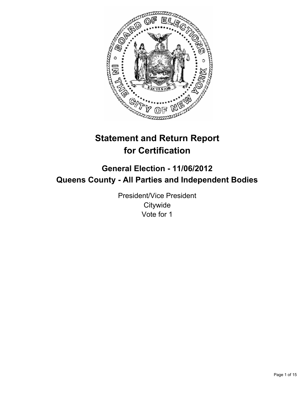

# **Statement and Return Report for Certification**

## **General Election - 11/06/2012 Queens County - All Parties and Independent Bodies**

President/Vice President **Citywide** Vote for 1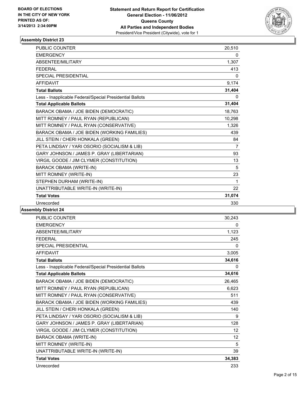

| <b>PUBLIC COUNTER</b>                                    | 20,510         |
|----------------------------------------------------------|----------------|
| <b>EMERGENCY</b>                                         | 0              |
| ABSENTEE/MILITARY                                        | 1,307          |
| <b>FEDERAL</b>                                           | 413            |
| <b>SPECIAL PRESIDENTIAL</b>                              | $\mathbf{0}$   |
| <b>AFFIDAVIT</b>                                         | 9,174          |
| <b>Total Ballots</b>                                     | 31,404         |
| Less - Inapplicable Federal/Special Presidential Ballots | 0              |
| <b>Total Applicable Ballots</b>                          | 31,404         |
| BARACK OBAMA / JOE BIDEN (DEMOCRATIC)                    | 18,763         |
| MITT ROMNEY / PAUL RYAN (REPUBLICAN)                     | 10,298         |
| MITT ROMNEY / PAUL RYAN (CONSERVATIVE)                   | 1,326          |
| BARACK OBAMA / JOE BIDEN (WORKING FAMILIES)              | 439            |
| JILL STEIN / CHERI HONKALA (GREEN)                       | 84             |
| PETA LINDSAY / YARI OSORIO (SOCIALISM & LIB)             | $\overline{7}$ |
| GARY JOHNSON / JAMES P. GRAY (LIBERTARIAN)               | 93             |
| VIRGIL GOODE / JIM CLYMER (CONSTITUTION)                 | 13             |
| <b>BARACK OBAMA (WRITE-IN)</b>                           | 5              |
| MITT ROMNEY (WRITE-IN)                                   | 23             |
| STEPHEN DURHAM (WRITE-IN)                                | 1              |
| UNATTRIBUTABLE WRITE-IN (WRITE-IN)                       | 22             |
| <b>Total Votes</b>                                       | 31,074         |
| Unrecorded                                               | 330            |

| <b>PUBLIC COUNTER</b>                                    | 30,243   |
|----------------------------------------------------------|----------|
| <b>EMERGENCY</b>                                         | 0        |
| <b>ABSENTEE/MILITARY</b>                                 | 1,123    |
| <b>FFDFRAL</b>                                           | 245      |
| SPECIAL PRESIDENTIAL                                     | 0        |
| <b>AFFIDAVIT</b>                                         | 3,005    |
| <b>Total Ballots</b>                                     | 34,616   |
| Less - Inapplicable Federal/Special Presidential Ballots | $\Omega$ |
| <b>Total Applicable Ballots</b>                          | 34,616   |
| BARACK OBAMA / JOE BIDEN (DEMOCRATIC)                    | 26,465   |
| MITT ROMNEY / PAUL RYAN (REPUBLICAN)                     | 6,623    |
| MITT ROMNEY / PAUL RYAN (CONSERVATIVE)                   | 511      |
| BARACK OBAMA / JOE BIDEN (WORKING FAMILIES)              | 439      |
| JILL STEIN / CHERI HONKALA (GREEN)                       | 140      |
| PETA LINDSAY / YARI OSORIO (SOCIALISM & LIB)             | 9        |
| GARY JOHNSON / JAMES P. GRAY (LIBERTARIAN)               | 128      |
| VIRGIL GOODE / JIM CLYMER (CONSTITUTION)                 | 12       |
| <b>BARACK OBAMA (WRITE-IN)</b>                           | 12       |
| MITT ROMNEY (WRITE-IN)                                   | 5        |
| UNATTRIBUTABLE WRITE-IN (WRITE-IN)                       | 39       |
| <b>Total Votes</b>                                       | 34,383   |
| Unrecorded                                               | 233      |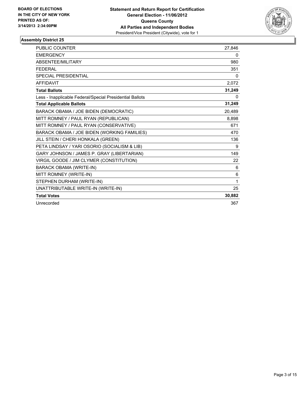

| <b>PUBLIC COUNTER</b>                                    | 27,846 |
|----------------------------------------------------------|--------|
| <b>EMERGENCY</b>                                         | 0      |
| ABSENTEE/MILITARY                                        | 980    |
| <b>FEDERAL</b>                                           | 351    |
| SPECIAL PRESIDENTIAL                                     | 0      |
| <b>AFFIDAVIT</b>                                         | 2,072  |
| <b>Total Ballots</b>                                     | 31,249 |
| Less - Inapplicable Federal/Special Presidential Ballots | 0      |
| <b>Total Applicable Ballots</b>                          | 31,249 |
| BARACK OBAMA / JOE BIDEN (DEMOCRATIC)                    | 20,489 |
| MITT ROMNEY / PAUL RYAN (REPUBLICAN)                     | 8,898  |
| MITT ROMNEY / PAUL RYAN (CONSERVATIVE)                   | 671    |
| BARACK OBAMA / JOE BIDEN (WORKING FAMILIES)              | 470    |
| JILL STEIN / CHERI HONKALA (GREEN)                       | 136    |
| PETA LINDSAY / YARI OSORIO (SOCIALISM & LIB)             | 9      |
| GARY JOHNSON / JAMES P. GRAY (LIBERTARIAN)               | 149    |
| VIRGIL GOODE / JIM CLYMER (CONSTITUTION)                 | 22     |
| <b>BARACK OBAMA (WRITE-IN)</b>                           | 6      |
| MITT ROMNEY (WRITE-IN)                                   | 6      |
| STEPHEN DURHAM (WRITE-IN)                                | 1      |
| UNATTRIBUTABLE WRITE-IN (WRITE-IN)                       | 25     |
| <b>Total Votes</b>                                       | 30,882 |
| Unrecorded                                               | 367    |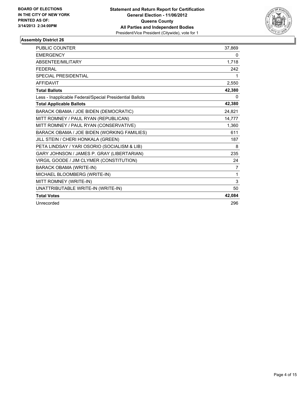

| <b>PUBLIC COUNTER</b>                                    | 37,869 |
|----------------------------------------------------------|--------|
| <b>EMERGENCY</b>                                         | 0      |
| ABSENTEE/MILITARY                                        | 1,718  |
| <b>FEDERAL</b>                                           | 242    |
| SPECIAL PRESIDENTIAL                                     | 1      |
| <b>AFFIDAVIT</b>                                         | 2,550  |
| <b>Total Ballots</b>                                     | 42,380 |
| Less - Inapplicable Federal/Special Presidential Ballots | 0      |
| <b>Total Applicable Ballots</b>                          | 42,380 |
| BARACK OBAMA / JOE BIDEN (DEMOCRATIC)                    | 24,821 |
| MITT ROMNEY / PAUL RYAN (REPUBLICAN)                     | 14,777 |
| MITT ROMNEY / PAUL RYAN (CONSERVATIVE)                   | 1.360  |
| BARACK OBAMA / JOE BIDEN (WORKING FAMILIES)              | 611    |
| JILL STEIN / CHERI HONKALA (GREEN)                       | 187    |
| PETA LINDSAY / YARI OSORIO (SOCIALISM & LIB)             | 8      |
| GARY JOHNSON / JAMES P. GRAY (LIBERTARIAN)               | 235    |
| VIRGIL GOODE / JIM CLYMER (CONSTITUTION)                 | 24     |
| <b>BARACK OBAMA (WRITE-IN)</b>                           | 7      |
| MICHAEL BLOOMBERG (WRITE-IN)                             | 1      |
| MITT ROMNEY (WRITE-IN)                                   | 3      |
| UNATTRIBUTABLE WRITE-IN (WRITE-IN)                       | 50     |
| <b>Total Votes</b>                                       | 42,084 |
| Unrecorded                                               | 296    |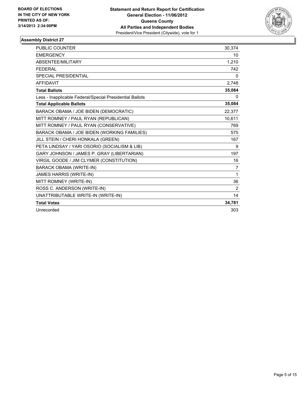

| <b>PUBLIC COUNTER</b>                                    | 30,374       |
|----------------------------------------------------------|--------------|
| <b>EMERGENCY</b>                                         | 10           |
| <b>ABSENTEE/MILITARY</b>                                 | 1,210        |
| <b>FEDERAL</b>                                           | 742          |
| <b>SPECIAL PRESIDENTIAL</b>                              | 0            |
| <b>AFFIDAVIT</b>                                         | 2,748        |
| <b>Total Ballots</b>                                     | 35,084       |
| Less - Inapplicable Federal/Special Presidential Ballots | 0            |
| <b>Total Applicable Ballots</b>                          | 35,084       |
| BARACK OBAMA / JOE BIDEN (DEMOCRATIC)                    | 22,377       |
| MITT ROMNEY / PAUL RYAN (REPUBLICAN)                     | 10,611       |
| MITT ROMNEY / PAUL RYAN (CONSERVATIVE)                   | 769          |
| BARACK OBAMA / JOE BIDEN (WORKING FAMILIES)              | 575          |
| JILL STEIN / CHERI HONKALA (GREEN)                       | 167          |
| PETA LINDSAY / YARI OSORIO (SOCIALISM & LIB)             | 9            |
| GARY JOHNSON / JAMES P. GRAY (LIBERTARIAN)               | 197          |
| VIRGIL GOODE / JIM CLYMER (CONSTITUTION)                 | 16           |
| BARACK OBAMA (WRITE-IN)                                  | 7            |
| JAMES HARRIS (WRITE-IN)                                  | $\mathbf{1}$ |
| MITT ROMNEY (WRITE-IN)                                   | 36           |
| ROSS C. ANDERSON (WRITE-IN)                              | 2            |
| UNATTRIBUTABLE WRITE-IN (WRITE-IN)                       | 14           |
| <b>Total Votes</b>                                       | 34,781       |
| Unrecorded                                               | 303          |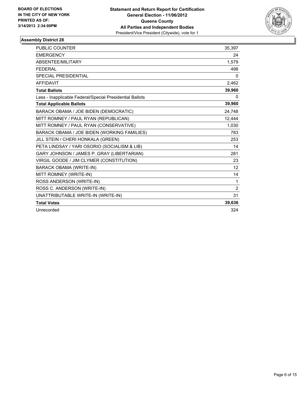

| <b>PUBLIC COUNTER</b>                                    | 35,397         |
|----------------------------------------------------------|----------------|
| <b>EMERGENCY</b>                                         | 24             |
| ABSENTEE/MILITARY                                        | 1,579          |
| <b>FEDERAL</b>                                           | 498            |
| <b>SPECIAL PRESIDENTIAL</b>                              | 0              |
| <b>AFFIDAVIT</b>                                         | 2,462          |
| <b>Total Ballots</b>                                     | 39,960         |
| Less - Inapplicable Federal/Special Presidential Ballots | 0              |
| <b>Total Applicable Ballots</b>                          | 39,960         |
| BARACK OBAMA / JOE BIDEN (DEMOCRATIC)                    | 24,748         |
| MITT ROMNEY / PAUL RYAN (REPUBLICAN)                     | 12,444         |
| MITT ROMNEY / PAUL RYAN (CONSERVATIVE)                   | 1,030          |
| BARACK OBAMA / JOE BIDEN (WORKING FAMILIES)              | 783            |
| JILL STEIN / CHERI HONKALA (GREEN)                       | 253            |
| PETA LINDSAY / YARI OSORIO (SOCIALISM & LIB)             | 14             |
| GARY JOHNSON / JAMES P. GRAY (LIBERTARIAN)               | 281            |
| VIRGIL GOODE / JIM CLYMER (CONSTITUTION)                 | 23             |
| <b>BARACK OBAMA (WRITE-IN)</b>                           | 12             |
| MITT ROMNEY (WRITE-IN)                                   | 14             |
| ROSS ANDERSON (WRITE-IN)                                 | 1              |
| ROSS C. ANDERSON (WRITE-IN)                              | $\overline{2}$ |
| UNATTRIBUTABLE WRITE-IN (WRITE-IN)                       | 31             |
| <b>Total Votes</b>                                       | 39,636         |
| Unrecorded                                               | 324            |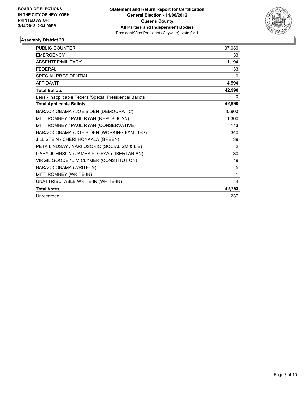

| <b>PUBLIC COUNTER</b>                                    | 37,036   |
|----------------------------------------------------------|----------|
| <b>EMERGENCY</b>                                         | 33       |
| <b>ABSENTEE/MILITARY</b>                                 | 1,194    |
| <b>FFDFRAL</b>                                           | 133      |
| SPECIAL PRESIDENTIAL                                     | 0        |
| <b>AFFIDAVIT</b>                                         | 4,594    |
| <b>Total Ballots</b>                                     | 42,990   |
| Less - Inapplicable Federal/Special Presidential Ballots | $\Omega$ |
| <b>Total Applicable Ballots</b>                          | 42,990   |
| BARACK OBAMA / JOE BIDEN (DEMOCRATIC)                    | 40,900   |
| MITT ROMNEY / PAUL RYAN (REPUBLICAN)                     | 1,300    |
| MITT ROMNEY / PAUL RYAN (CONSERVATIVE)                   | 113      |
| BARACK OBAMA / JOE BIDEN (WORKING FAMILIES)              | 340      |
| JILL STEIN / CHERI HONKALA (GREEN)                       | 39       |
| PETA LINDSAY / YARI OSORIO (SOCIALISM & LIB)             | 2        |
| GARY JOHNSON / JAMES P. GRAY (LIBERTARIAN)               | 30       |
| VIRGIL GOODE / JIM CLYMER (CONSTITUTION)                 | 19       |
| <b>BARACK OBAMA (WRITE-IN)</b>                           | 5        |
| MITT ROMNEY (WRITE-IN)                                   | 1        |
| UNATTRIBUTABLE WRITE-IN (WRITE-IN)                       | 4        |
| <b>Total Votes</b>                                       | 42,753   |
| Unrecorded                                               | 237      |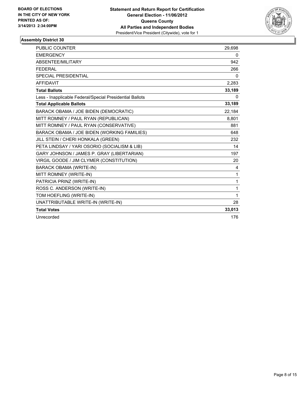

| <b>PUBLIC COUNTER</b>                                    | 29,698 |
|----------------------------------------------------------|--------|
| <b>EMERGENCY</b>                                         | 0      |
| <b>ABSENTEE/MILITARY</b>                                 | 942    |
| <b>FFDFRAI</b>                                           | 266    |
| <b>SPECIAL PRESIDENTIAL</b>                              | 0      |
| <b>AFFIDAVIT</b>                                         | 2,283  |
| <b>Total Ballots</b>                                     | 33,189 |
| Less - Inapplicable Federal/Special Presidential Ballots | 0      |
| <b>Total Applicable Ballots</b>                          | 33,189 |
| BARACK OBAMA / JOE BIDEN (DEMOCRATIC)                    | 22,184 |
| MITT ROMNEY / PAUL RYAN (REPUBLICAN)                     | 8,801  |
| MITT ROMNEY / PAUL RYAN (CONSERVATIVE)                   | 881    |
| BARACK OBAMA / JOE BIDEN (WORKING FAMILIES)              | 648    |
| JILL STEIN / CHERI HONKALA (GREEN)                       | 232    |
| PETA LINDSAY / YARI OSORIO (SOCIALISM & LIB)             | 14     |
| GARY JOHNSON / JAMES P. GRAY (LIBERTARIAN)               | 197    |
| VIRGIL GOODE / JIM CLYMER (CONSTITUTION)                 | 20     |
| <b>BARACK OBAMA (WRITE-IN)</b>                           | 4      |
| MITT ROMNEY (WRITE-IN)                                   | 1      |
| PATRICIA PRINZ (WRITE-IN)                                | 1      |
| ROSS C. ANDERSON (WRITE-IN)                              | 1      |
| TOM HOEFLING (WRITE-IN)                                  | 1      |
| UNATTRIBUTABLE WRITE-IN (WRITE-IN)                       | 28     |
| <b>Total Votes</b>                                       | 33,013 |
| Unrecorded                                               | 176    |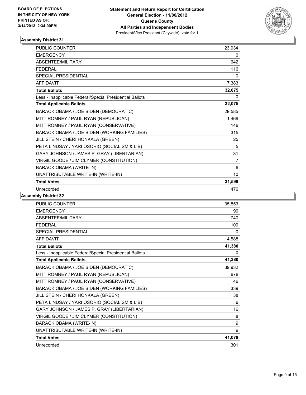

| <b>PUBLIC COUNTER</b>                                    | 23,934         |
|----------------------------------------------------------|----------------|
| <b>EMERGENCY</b>                                         | 0              |
| ABSENTEE/MILITARY                                        | 642            |
| <b>FFDFRAL</b>                                           | 116            |
| <b>SPECIAL PRESIDENTIAL</b>                              | 0              |
| <b>AFFIDAVIT</b>                                         | 7,383          |
| <b>Total Ballots</b>                                     | 32,075         |
| Less - Inapplicable Federal/Special Presidential Ballots | 0              |
| <b>Total Applicable Ballots</b>                          | 32,075         |
| BARACK OBAMA / JOE BIDEN (DEMOCRATIC)                    | 29,585         |
| MITT ROMNEY / PAUL RYAN (REPUBLICAN)                     | 1,469          |
| MITT ROMNEY / PAUL RYAN (CONSERVATIVE)                   | 146            |
| BARACK OBAMA / JOE BIDEN (WORKING FAMILIES)              | 315            |
| JILL STEIN / CHERI HONKALA (GREEN)                       | 25             |
| PETA LINDSAY / YARI OSORIO (SOCIALISM & LIB)             | 5              |
| GARY JOHNSON / JAMES P. GRAY (LIBERTARIAN)               | 31             |
| VIRGIL GOODE / JIM CLYMER (CONSTITUTION)                 | $\overline{7}$ |
| <b>BARACK OBAMA (WRITE-IN)</b>                           | 6              |
| UNATTRIBUTABLE WRITE-IN (WRITE-IN)                       | 10             |
| <b>Total Votes</b>                                       | 31,599         |
| Unrecorded                                               | 476            |

| <b>PUBLIC COUNTER</b>                                    | 35,853 |
|----------------------------------------------------------|--------|
| <b>EMERGENCY</b>                                         | 90     |
| <b>ABSENTEE/MILITARY</b>                                 | 740    |
| <b>FEDERAL</b>                                           | 109    |
| <b>SPECIAL PRESIDENTIAL</b>                              | 0      |
| <b>AFFIDAVIT</b>                                         | 4,588  |
| <b>Total Ballots</b>                                     | 41,380 |
| Less - Inapplicable Federal/Special Presidential Ballots | 0      |
| <b>Total Applicable Ballots</b>                          | 41,380 |
| BARACK OBAMA / JOE BIDEN (DEMOCRATIC)                    | 39,932 |
| MITT ROMNEY / PAUL RYAN (REPUBLICAN)                     | 676    |
| MITT ROMNEY / PAUL RYAN (CONSERVATIVE)                   | 46     |
| BARACK OBAMA / JOE BIDEN (WORKING FAMILIES)              | 339    |
| JILL STEIN / CHERI HONKALA (GREEN)                       | 38     |
| PETA LINDSAY / YARI OSORIO (SOCIALISM & LIB)             | 6      |
| GARY JOHNSON / JAMES P. GRAY (LIBERTARIAN)               | 16     |
| VIRGIL GOODE / JIM CLYMER (CONSTITUTION)                 | 8      |
| <b>BARACK OBAMA (WRITE-IN)</b>                           | 9      |
| UNATTRIBUTABLE WRITE-IN (WRITE-IN)                       | 9      |
| <b>Total Votes</b>                                       | 41,079 |
| Unrecorded                                               | 301    |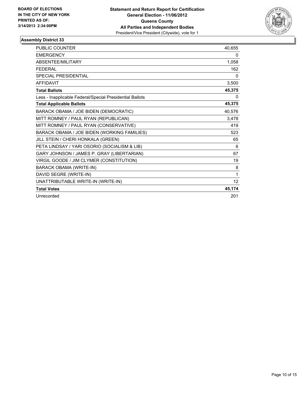

| <b>PUBLIC COUNTER</b>                                    | 40,655   |
|----------------------------------------------------------|----------|
| <b>EMERGENCY</b>                                         | 0        |
| <b>ABSENTEE/MILITARY</b>                                 | 1,058    |
| <b>FEDERAL</b>                                           | 162      |
| <b>SPECIAL PRESIDENTIAL</b>                              | $\Omega$ |
| <b>AFFIDAVIT</b>                                         | 3,500    |
| <b>Total Ballots</b>                                     | 45,375   |
| Less - Inapplicable Federal/Special Presidential Ballots | 0        |
| <b>Total Applicable Ballots</b>                          | 45,375   |
| BARACK OBAMA / JOE BIDEN (DEMOCRATIC)                    | 40,576   |
| MITT ROMNEY / PAUL RYAN (REPUBLICAN)                     | 3,478    |
| MITT ROMNEY / PAUL RYAN (CONSERVATIVE)                   | 419      |
| BARACK OBAMA / JOE BIDEN (WORKING FAMILIES)              | 523      |
| JILL STEIN / CHERI HONKALA (GREEN)                       | 65       |
| PETA LINDSAY / YARI OSORIO (SOCIALISM & LIB)             | 6        |
| GARY JOHNSON / JAMES P. GRAY (LIBERTARIAN)               | 67       |
| VIRGIL GOODE / JIM CLYMER (CONSTITUTION)                 | 19       |
| <b>BARACK OBAMA (WRITE-IN)</b>                           | 8        |
| DAVID SEGRE (WRITE-IN)                                   | 1        |
| UNATTRIBUTABLE WRITE-IN (WRITE-IN)                       | 12       |
| <b>Total Votes</b>                                       | 45,174   |
| Unrecorded                                               | 201      |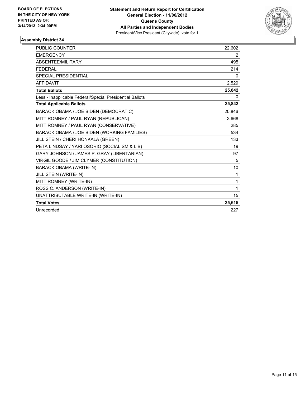

| <b>PUBLIC COUNTER</b>                                    | 22,602 |
|----------------------------------------------------------|--------|
| <b>EMERGENCY</b>                                         | 2      |
| ABSENTEE/MILITARY                                        | 495    |
| <b>FEDERAL</b>                                           | 214    |
| <b>SPECIAL PRESIDENTIAL</b>                              | 0      |
| <b>AFFIDAVIT</b>                                         | 2,529  |
| <b>Total Ballots</b>                                     | 25,842 |
| Less - Inapplicable Federal/Special Presidential Ballots | 0      |
| <b>Total Applicable Ballots</b>                          | 25,842 |
| BARACK OBAMA / JOE BIDEN (DEMOCRATIC)                    | 20,846 |
| MITT ROMNEY / PAUL RYAN (REPUBLICAN)                     | 3,668  |
| MITT ROMNEY / PAUL RYAN (CONSERVATIVE)                   | 285    |
| BARACK OBAMA / JOE BIDEN (WORKING FAMILIES)              | 534    |
| JILL STEIN / CHERI HONKALA (GREEN)                       | 133    |
| PETA LINDSAY / YARI OSORIO (SOCIALISM & LIB)             | 19     |
| GARY JOHNSON / JAMES P. GRAY (LIBERTARIAN)               | 97     |
| VIRGIL GOODE / JIM CLYMER (CONSTITUTION)                 | 5      |
| <b>BARACK OBAMA (WRITE-IN)</b>                           | 10     |
| JILL STEIN (WRITE-IN)                                    | 1      |
| MITT ROMNEY (WRITE-IN)                                   | 1      |
| ROSS C. ANDERSON (WRITE-IN)                              | 1      |
| UNATTRIBUTABLE WRITE-IN (WRITE-IN)                       | 15     |
| <b>Total Votes</b>                                       | 25,615 |
| Unrecorded                                               | 227    |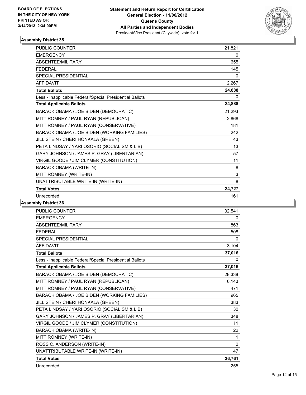

| <b>PUBLIC COUNTER</b>                                    | 21,821 |
|----------------------------------------------------------|--------|
| <b>EMERGENCY</b>                                         | 0      |
| ABSENTEE/MILITARY                                        | 655    |
| <b>FFDFRAL</b>                                           | 145    |
| <b>SPECIAL PRESIDENTIAL</b>                              | 0      |
| <b>AFFIDAVIT</b>                                         | 2,267  |
| <b>Total Ballots</b>                                     | 24,888 |
| Less - Inapplicable Federal/Special Presidential Ballots | 0      |
| <b>Total Applicable Ballots</b>                          | 24,888 |
| BARACK OBAMA / JOE BIDEN (DEMOCRATIC)                    | 21,293 |
| MITT ROMNEY / PAUL RYAN (REPUBLICAN)                     | 2,868  |
| MITT ROMNEY / PAUL RYAN (CONSERVATIVE)                   | 181    |
| BARACK OBAMA / JOE BIDEN (WORKING FAMILIES)              | 242    |
| JILL STEIN / CHERI HONKALA (GREEN)                       | 43     |
| PETA LINDSAY / YARI OSORIO (SOCIALISM & LIB)             | 13     |
| GARY JOHNSON / JAMES P. GRAY (LIBERTARIAN)               | 57     |
| VIRGIL GOODE / JIM CLYMER (CONSTITUTION)                 | 11     |
| <b>BARACK OBAMA (WRITE-IN)</b>                           | 8      |
| MITT ROMNEY (WRITE-IN)                                   | 3      |
| UNATTRIBUTABLE WRITE-IN (WRITE-IN)                       | 8      |
| <b>Total Votes</b>                                       | 24,727 |
| Unrecorded                                               | 161    |

| <b>PUBLIC COUNTER</b>                                    | 32,541       |
|----------------------------------------------------------|--------------|
| <b>EMERGENCY</b>                                         | 0            |
| ABSENTEE/MILITARY                                        | 863          |
| <b>FEDERAL</b>                                           | 508          |
| <b>SPECIAL PRESIDENTIAL</b>                              | $\mathbf{0}$ |
| <b>AFFIDAVIT</b>                                         | 3,104        |
| <b>Total Ballots</b>                                     | 37,016       |
| Less - Inapplicable Federal/Special Presidential Ballots | 0            |
| <b>Total Applicable Ballots</b>                          | 37,016       |
| BARACK OBAMA / JOE BIDEN (DEMOCRATIC)                    | 28,338       |
| MITT ROMNEY / PAUL RYAN (REPUBLICAN)                     | 6,143        |
| MITT ROMNEY / PAUL RYAN (CONSERVATIVE)                   | 471          |
| BARACK OBAMA / JOE BIDEN (WORKING FAMILIES)              | 965          |
| JILL STEIN / CHERI HONKALA (GREEN)                       | 383          |
| PETA LINDSAY / YARI OSORIO (SOCIALISM & LIB)             | 30           |
| GARY JOHNSON / JAMES P. GRAY (LIBERTARIAN)               | 348          |
| VIRGIL GOODE / JIM CLYMER (CONSTITUTION)                 | 11           |
| <b>BARACK OBAMA (WRITE-IN)</b>                           | 22           |
| MITT ROMNEY (WRITE-IN)                                   | 1            |
| ROSS C. ANDERSON (WRITE-IN)                              | 2            |
| UNATTRIBUTABLE WRITE-IN (WRITE-IN)                       | 47           |
| <b>Total Votes</b>                                       | 36,761       |
| Unrecorded                                               | 255          |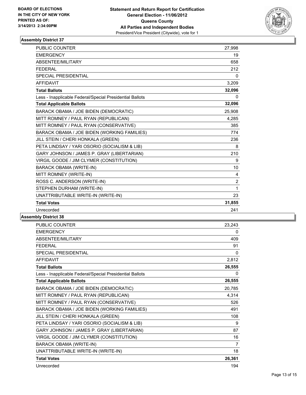

| <b>PUBLIC COUNTER</b>                                    | 27,998         |
|----------------------------------------------------------|----------------|
| <b>EMERGENCY</b>                                         | 19             |
| ABSENTEE/MILITARY                                        | 658            |
| <b>FEDERAL</b>                                           | 212            |
| SPECIAL PRESIDENTIAL                                     | $\mathbf{0}$   |
| <b>AFFIDAVIT</b>                                         | 3,209          |
| <b>Total Ballots</b>                                     | 32,096         |
| Less - Inapplicable Federal/Special Presidential Ballots | 0              |
| <b>Total Applicable Ballots</b>                          | 32,096         |
| BARACK OBAMA / JOE BIDEN (DEMOCRATIC)                    | 25,908         |
| MITT ROMNEY / PAUL RYAN (REPUBLICAN)                     | 4,285          |
| MITT ROMNEY / PAUL RYAN (CONSERVATIVE)                   | 385            |
| BARACK OBAMA / JOE BIDEN (WORKING FAMILIES)              | 774            |
| JILL STEIN / CHERI HONKALA (GREEN)                       | 236            |
| PETA LINDSAY / YARI OSORIO (SOCIALISM & LIB)             | 8              |
| GARY JOHNSON / JAMES P. GRAY (LIBERTARIAN)               | 210            |
| VIRGIL GOODE / JIM CLYMER (CONSTITUTION)                 | 9              |
| <b>BARACK OBAMA (WRITE-IN)</b>                           | 10             |
| MITT ROMNEY (WRITE-IN)                                   | 4              |
| ROSS C. ANDERSON (WRITE-IN)                              | $\overline{2}$ |
| STEPHEN DURHAM (WRITE-IN)                                | 1              |
| UNATTRIBUTABLE WRITE-IN (WRITE-IN)                       | 23             |
| <b>Total Votes</b>                                       | 31,855         |
| Unrecorded                                               | 241            |
|                                                          |                |

| PUBLIC COUNTER                                           | 23,243 |
|----------------------------------------------------------|--------|
| <b>EMERGENCY</b>                                         | 0      |
| ABSENTEE/MILITARY                                        | 409    |
| <b>FEDERAL</b>                                           | 91     |
| SPECIAL PRESIDENTIAL                                     | 0      |
| <b>AFFIDAVIT</b>                                         | 2,812  |
| <b>Total Ballots</b>                                     | 26,555 |
| Less - Inapplicable Federal/Special Presidential Ballots | 0      |
| <b>Total Applicable Ballots</b>                          | 26,555 |
| BARACK OBAMA / JOE BIDEN (DEMOCRATIC)                    | 20,785 |
| MITT ROMNEY / PAUL RYAN (REPUBLICAN)                     | 4,314  |
| MITT ROMNEY / PAUL RYAN (CONSERVATIVE)                   | 526    |
| BARACK OBAMA / JOE BIDEN (WORKING FAMILIES)              | 491    |
| JILL STEIN / CHERI HONKALA (GREEN)                       | 108    |
| PETA LINDSAY / YARI OSORIO (SOCIALISM & LIB)             | 9      |
| GARY JOHNSON / JAMES P. GRAY (LIBERTARIAN)               | 87     |
| VIRGIL GOODE / JIM CLYMER (CONSTITUTION)                 | 16     |
| <b>BARACK OBAMA (WRITE-IN)</b>                           | 7      |
| UNATTRIBUTABLE WRITE-IN (WRITE-IN)                       | 18     |
| <b>Total Votes</b>                                       | 26,361 |
| Unrecorded                                               | 194    |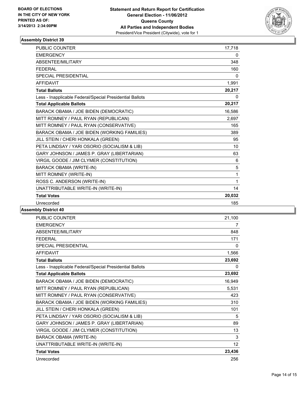

| <b>PUBLIC COUNTER</b>                                    | 17,718 |
|----------------------------------------------------------|--------|
| <b>EMERGENCY</b>                                         | 0      |
| ABSENTEE/MILITARY                                        | 348    |
| <b>FEDERAL</b>                                           | 160    |
| <b>SPECIAL PRESIDENTIAL</b>                              | 0      |
| <b>AFFIDAVIT</b>                                         | 1,991  |
| <b>Total Ballots</b>                                     | 20,217 |
| Less - Inapplicable Federal/Special Presidential Ballots | 0      |
| <b>Total Applicable Ballots</b>                          | 20,217 |
| BARACK OBAMA / JOE BIDEN (DEMOCRATIC)                    | 16,586 |
| MITT ROMNEY / PAUL RYAN (REPUBLICAN)                     | 2,697  |
| MITT ROMNEY / PAUL RYAN (CONSERVATIVE)                   | 165    |
| BARACK OBAMA / JOE BIDEN (WORKING FAMILIES)              | 389    |
| JILL STEIN / CHERI HONKALA (GREEN)                       | 95     |
| PETA LINDSAY / YARI OSORIO (SOCIALISM & LIB)             | 10     |
| GARY JOHNSON / JAMES P. GRAY (LIBERTARIAN)               | 63     |
| VIRGIL GOODE / JIM CLYMER (CONSTITUTION)                 | 6      |
| <b>BARACK OBAMA (WRITE-IN)</b>                           | 5      |
| MITT ROMNEY (WRITE-IN)                                   | 1      |
| ROSS C. ANDERSON (WRITE-IN)                              | 1      |
| UNATTRIBUTABLE WRITE-IN (WRITE-IN)                       | 14     |
| <b>Total Votes</b>                                       | 20,032 |
| Unrecorded                                               | 185    |

| <b>PUBLIC COUNTER</b>                                    | 21,100 |
|----------------------------------------------------------|--------|
| <b>EMERGENCY</b>                                         | 7      |
| <b>ABSENTEE/MILITARY</b>                                 | 848    |
| <b>FFDFRAL</b>                                           | 171    |
| <b>SPECIAL PRESIDENTIAL</b>                              | 0      |
| <b>AFFIDAVIT</b>                                         | 1,566  |
| <b>Total Ballots</b>                                     | 23,692 |
| Less - Inapplicable Federal/Special Presidential Ballots | 0      |
| <b>Total Applicable Ballots</b>                          | 23,692 |
| BARACK OBAMA / JOE BIDEN (DEMOCRATIC)                    | 16,949 |
| MITT ROMNEY / PAUL RYAN (REPUBLICAN)                     | 5,531  |
| MITT ROMNEY / PAUL RYAN (CONSERVATIVE)                   | 423    |
| BARACK OBAMA / JOE BIDEN (WORKING FAMILIES)              | 310    |
| JILL STEIN / CHERI HONKALA (GREEN)                       | 101    |
| PETA LINDSAY / YARI OSORIO (SOCIALISM & LIB)             | 5      |
| GARY JOHNSON / JAMES P. GRAY (LIBERTARIAN)               | 89     |
| VIRGIL GOODE / JIM CLYMER (CONSTITUTION)                 | 13     |
| <b>BARACK OBAMA (WRITE-IN)</b>                           | 3      |
| UNATTRIBUTABLE WRITE-IN (WRITE-IN)                       | 12     |
| <b>Total Votes</b>                                       | 23,436 |
| Unrecorded                                               | 256    |